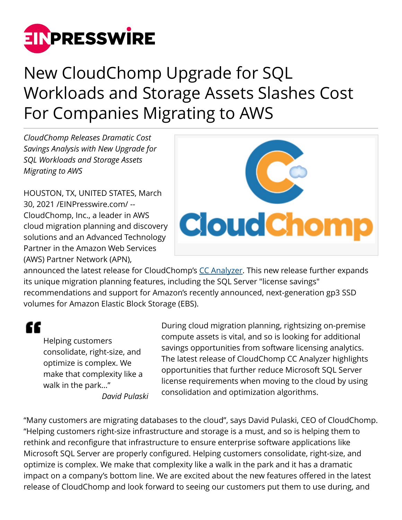

## New CloudChomp Upgrade for SQL Workloads and Storage Assets Slashes Cost For Companies Migrating to AWS

*CloudChomp Releases Dramatic Cost Savings Analysis with New Upgrade for SQL Workloads and Storage Assets Migrating to AWS*

HOUSTON, TX, UNITED STATES, March 30, 2021 /[EINPresswire.com/](http://www.einpresswire.com) -- CloudChomp, Inc., a leader in AWS cloud migration planning and discovery solutions and an Advanced Technology Partner in the Amazon Web Services (AWS) Partner Network (APN),



announced the latest release for CloudChomp's [CC Analyzer.](https://www.cloudchomp.com/analyzer.html) This new release further expands its unique migration planning features, including the SQL Server "license savings" recommendations and support for Amazon's recently announced, next-generation gp3 SSD volumes for Amazon Elastic Block Storage (EBS).

"

Helping customers consolidate, right-size, and optimize is complex. We make that complexity like a walk in the park…" *David Pulaski*

During cloud migration planning, rightsizing on-premise compute assets is vital, and so is looking for additional savings opportunities from software licensing analytics. The latest release of CloudChomp CC Analyzer highlights opportunities that further reduce Microsoft SQL Server license requirements when moving to the cloud by using consolidation and optimization algorithms.

"Many customers are migrating databases to the cloud", says David Pulaski, CEO of CloudChomp. "Helping customers right-size infrastructure and storage is a must, and so is helping them to rethink and reconfigure that infrastructure to ensure enterprise software applications like Microsoft SQL Server are properly configured. Helping customers consolidate, right-size, and optimize is complex. We make that complexity like a walk in the park and it has a dramatic impact on a company's bottom line. We are excited about the new features offered in the latest release of CloudChomp and look forward to seeing our customers put them to use during, and